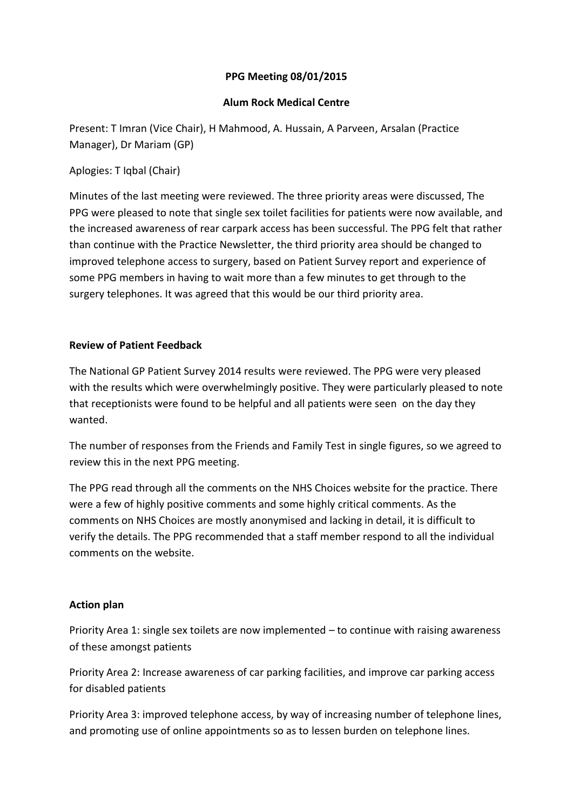# **PPG Meeting 08/01/2015**

#### **Alum Rock Medical Centre**

Present: T Imran (Vice Chair), H Mahmood, A. Hussain, A Parveen, Arsalan (Practice Manager), Dr Mariam (GP)

# Aplogies: T Iqbal (Chair)

Minutes of the last meeting were reviewed. The three priority areas were discussed, The PPG were pleased to note that single sex toilet facilities for patients were now available, and the increased awareness of rear carpark access has been successful. The PPG felt that rather than continue with the Practice Newsletter, the third priority area should be changed to improved telephone access to surgery, based on Patient Survey report and experience of some PPG members in having to wait more than a few minutes to get through to the surgery telephones. It was agreed that this would be our third priority area.

## **Review of Patient Feedback**

The National GP Patient Survey 2014 results were reviewed. The PPG were very pleased with the results which were overwhelmingly positive. They were particularly pleased to note that receptionists were found to be helpful and all patients were seen on the day they wanted.

The number of responses from the Friends and Family Test in single figures, so we agreed to review this in the next PPG meeting.

The PPG read through all the comments on the NHS Choices website for the practice. There were a few of highly positive comments and some highly critical comments. As the comments on NHS Choices are mostly anonymised and lacking in detail, it is difficult to verify the details. The PPG recommended that a staff member respond to all the individual comments on the website.

## **Action plan**

Priority Area 1: single sex toilets are now implemented – to continue with raising awareness of these amongst patients

Priority Area 2: Increase awareness of car parking facilities, and improve car parking access for disabled patients

Priority Area 3: improved telephone access, by way of increasing number of telephone lines, and promoting use of online appointments so as to lessen burden on telephone lines.